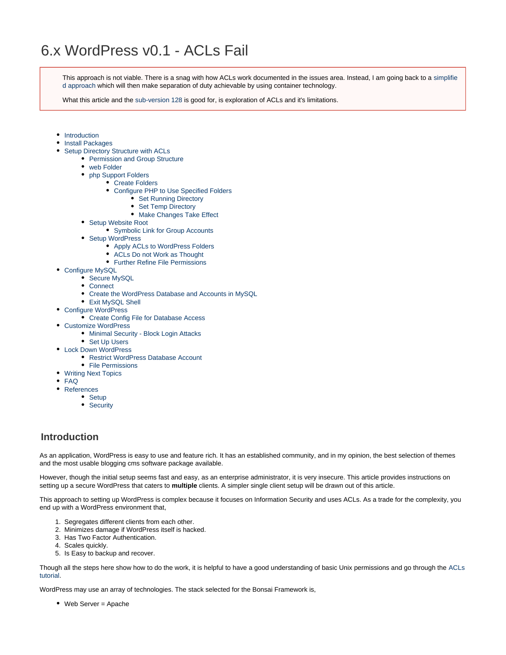This approach is not viable. There is a snag with how ACLs work documented in the issues area. Instead, I am going back to a [simplifie](http://www.bonsaiframework.com/wiki/display/bonsai/6.x+WordPress+Simplified) [d approach](http://www.bonsaiframework.com/wiki/display/bonsai/6.x+WordPress+Simplified) which will then make separation of duty achievable by using container technology.

What this article and the [sub-version 128](http://www.bonsaiframework.com/wiki/display/bonsai/5.x+WordPress+v.128) is good for, is exploration of ACLs and it's limitations.

- [Introduction](#page-0-0)
- [Install Packages](#page-1-0)
- [Setup Directory Structure with ACLs](#page-1-1)
	- [Permission and Group Structure](#page-1-2)
		- [web Folder](#page-2-0)
		- [php Support Folders](#page-4-0)
			- [Create Folders](#page-4-1)
				- [Configure PHP to Use Specified Folders](#page-4-2)
					- [Set Running Directory](#page-4-3)
					- [Set Temp Directory](#page-5-0)
					- [Make Changes Take Effect](#page-5-1)
		- [Setup Website Root](#page-5-2)
			- [Symbolic Link for Group Accounts](#page-5-3)
			- [Setup WordPress](#page-6-0)
				- [Apply ACLs to WordPress Folders](#page-6-1)
				- [ACLs Do not Work as Thought](#page-8-0) • [Further Refine File Permissions](#page-9-0)
				-
- [Configure MySQL](#page-9-1) • [Secure MySQL](#page-9-2)
	-
	- [Connect](#page-10-0)
	- [Create the WordPress Database and Accounts in MySQL](#page-11-0)
	- [Exit MySQL Shell](#page-11-1)
- [Configure WordPress](#page-12-0)
	- [Create Config File for Database Access](#page-12-1)
- [Customize WordPress](#page-13-0)
	- [Minimal Security Block Login Attacks](#page-14-0)
	- [Set Up Users](#page-14-1)
- [Lock Down WordPress](#page-15-0)
	- [Restrict WordPress Database Account](#page-15-1)
	- [File Permissions](#page-16-0)
- [Writing Next Topics](#page-16-1)
- [FAQ](#page-16-2)
- [References](#page-16-3)
	- [Setup](#page-16-4)
		- [Security](#page-16-5)

# <span id="page-0-0"></span>**Introduction**

As an application, WordPress is easy to use and feature rich. It has an established community, and in my opinion, the best selection of themes and the most usable blogging cms software package available.

However, though the initial setup seems fast and easy, as an enterprise administrator, it is very insecure. This article provides instructions on setting up a secure WordPress that caters to **multiple** clients. A simpler single client setup will be drawn out of this article.

This approach to setting up WordPress is complex because it focuses on Information Security and uses ACLs. As a trade for the complexity, you end up with a WordPress environment that,

- 1. Segregates different clients from each other.
- 2. Minimizes damage if WordPress itself is hacked.
- 3. Has Two Factor Authentication.
- 4. Scales quickly.
- 5. Is Easy to backup and recover.

Though all the steps here show how to do the work, it is helpful to have a good understanding of basic Unix permissions and go through the [ACLs](http://www.bonsaiframework.com/wiki/display/bonsai/ACLs+with+setfacl+and+getfacl) [tutorial](http://www.bonsaiframework.com/wiki/display/bonsai/ACLs+with+setfacl+and+getfacl).

WordPress may use an array of technologies. The stack selected for the Bonsai Framework is,

Web Server = Apache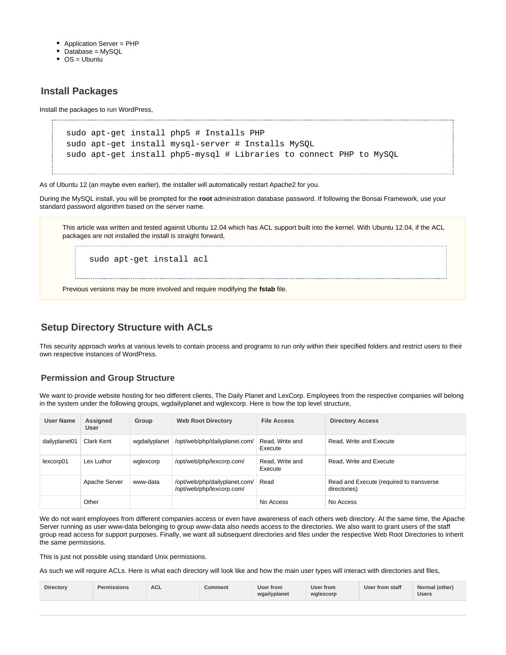- Application Server = PHP
- Database = MySQL
- $\bullet$  OS = Ubuntu

# <span id="page-1-0"></span>**Install Packages**

Install the packages to run WordPress,

```
sudo apt-get install php5 # Installs PHP
sudo apt-get install mysql-server # Installs MySQL
sudo apt-get install php5-mysql # Libraries to connect PHP to MySQL
```
As of Ubuntu 12 (an maybe even earlier), the installer will automatically restart Apache2 for you.

During the MySQL install, you will be prompted for the **root** administration database password. If following the Bonsai Framework, use your standard password algorithm based on the server name.

This article was written and tested against Ubuntu 12.04 which has ACL support built into the kernel. With Ubuntu 12.04, if the ACL packages are not installed the install is straight forward, sudo apt-get install acl

Previous versions may be more involved and require modifying the **fstab** file.

# <span id="page-1-1"></span>**Setup Directory Structure with ACLs**

This security approach works at various levels to contain process and programs to run only within their specified folders and restrict users to their own respective instances of WordPress.

# <span id="page-1-2"></span>**Permission and Group Structure**

We want to provide website hosting for two different clients, The Daily Planet and LexCorp. Employees from the respective companies will belong in the system under the following groups, wgdailyplanet and wglexcorp. Here is how the top level structure,

| <b>User Name</b> | Assigned<br><b>User</b> | Group         | <b>Web Root Directory</b>                                  | <b>File Access</b>         | <b>Directory Access</b>                                   |
|------------------|-------------------------|---------------|------------------------------------------------------------|----------------------------|-----------------------------------------------------------|
| dailyplanet01    | Clark Kent              | wqdailyplanet | /opt/web/php/dailyplanet.com/                              | Read. Write and<br>Execute | Read. Write and Execute                                   |
| lexcorp01        | Lex Luthor              | wglexcorp     | /opt/web/php/lexcorp.com/                                  | Read, Write and<br>Execute | Read. Write and Execute                                   |
|                  | Apache Server           | www-data      | /opt/web/php/dailyplanet.com/<br>/opt/web/php/lexcorp.com/ | Read                       | Read and Execute (required to transverse)<br>directories) |
|                  | Other                   |               |                                                            | No Access                  | No Access                                                 |

We do not want employees from different companies access or even have awareness of each others web directory. At the same time, the Apache Server running as user www-data belonging to group www-data also needs access to the directories. We also want to grant users of the staff group read access for support purposes. Finally, we want all subsequent directories and files under the respective Web Root Directories to inherit the same permissions.

This is just not possible using standard Unix permissions.

As such we will require ACLs. Here is what each directory will look like and how the main user types will interact with directories and files,

| <b>Directory</b> | <b>Permissions</b> | <b>ACL</b> | Comment | User from<br>wgailyplanet | User from<br>wglexcorp | User from staff | Normal (other)<br><b>Users</b> |
|------------------|--------------------|------------|---------|---------------------------|------------------------|-----------------|--------------------------------|
|------------------|--------------------|------------|---------|---------------------------|------------------------|-----------------|--------------------------------|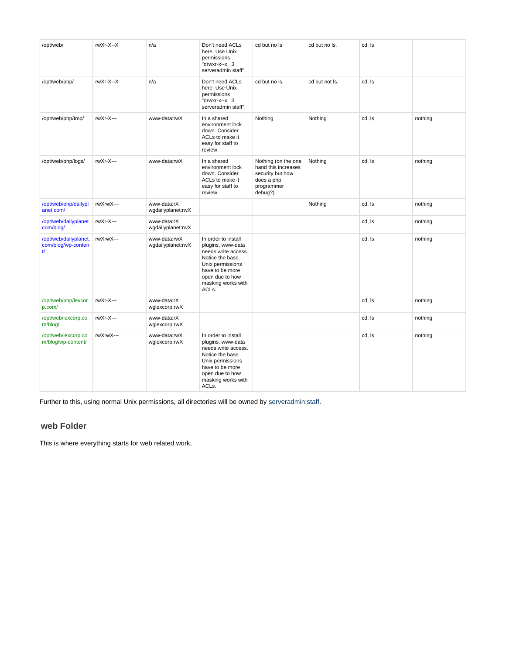| /opt/web/                                         | rwXr-X--X | n/a                               | Don't need ACLs<br>here. Use Unix<br>permissions<br>"drwxr-x--x 3<br>serveradmin staff".                                                                                    | cd but no Is                                                                                          | cd but no ls.  | cd, Is |         |
|---------------------------------------------------|-----------|-----------------------------------|-----------------------------------------------------------------------------------------------------------------------------------------------------------------------------|-------------------------------------------------------------------------------------------------------|----------------|--------|---------|
| /opt/web/php/                                     | rwXr-X--X | n/a                               | Don't need ACLs<br>here. Use Unix<br>permissions<br>"drwxr-x--x 3<br>serveradmin staff".                                                                                    | cd but no ls.                                                                                         | cd but not ls. | cd, Is |         |
| /opt/web/php/tmp/                                 | rwXr-X--- | www-data:rwX                      | In a shared<br>environment lock<br>down. Consider<br>ACLs to make it<br>easy for staff to<br>review.                                                                        | Nothing                                                                                               | Nothing        | cd, Is | nothing |
| /opt/web/php/logs/                                | rwXr-X--- | www-data:rwX                      | In a shared<br>environment lock<br>down. Consider<br>ACLs to make it<br>easy for staff to<br>review.                                                                        | Nothing (on the one<br>hand this increases<br>security but how<br>does a php<br>programmer<br>debug?) | Nothing        | cd, Is | nothing |
| /opt/web/php/dailypl<br>anet.com/                 | rwXrwX--- | www-data:rX<br>wgdailyplanet:rwX  |                                                                                                                                                                             |                                                                                                       | Nothing        | cd, Is | nothing |
| /opt/web/dailyplanet.<br>com/blog/                | rwXr-X--- | www-data:rX<br>wgdailyplanet:rwX  |                                                                                                                                                                             |                                                                                                       |                | cd, Is | nothing |
| /opt/web/dailyplanet.<br>com/blog/wp-conten<br>t/ | rwXrwX--- | www-data:rwX<br>wgdailyplanet:rwX | In order to install<br>plugins, www-data<br>needs write access.<br>Notice the base<br>Unix permissions<br>have to be more<br>open due to how<br>masking works with<br>ACLs. |                                                                                                       |                | cd, Is | nothing |
| /opt/web/php/lexcor<br>p.com/                     | rwXr-X--- | www-data:rX<br>wglexcorp:rwX      |                                                                                                                                                                             |                                                                                                       |                | cd, Is | nothing |
| /opt/web/lexcorp.co<br>m/blog/                    | rwXr-X--- | www-data:rX<br>wglexcorp:rwX      |                                                                                                                                                                             |                                                                                                       |                | cd, Is | nothing |
| /opt/web/lexcorp.co<br>m/blog/wp-content/         | rwXrwX--- | www-data:rwX<br>wglexcorp:rwX     | In order to install<br>plugins, www-data<br>needs write access.<br>Notice the base<br>Unix permissions<br>have to be more<br>open due to how<br>masking works with<br>ACLs. |                                                                                                       |                | cd, Is | nothing |

Further to this, using normal Unix permissions, all directories will be owned by [serveradmin:staff.](http://serveradminstaff)

## <span id="page-2-0"></span>**web Folder**

This is where everything starts for web related work,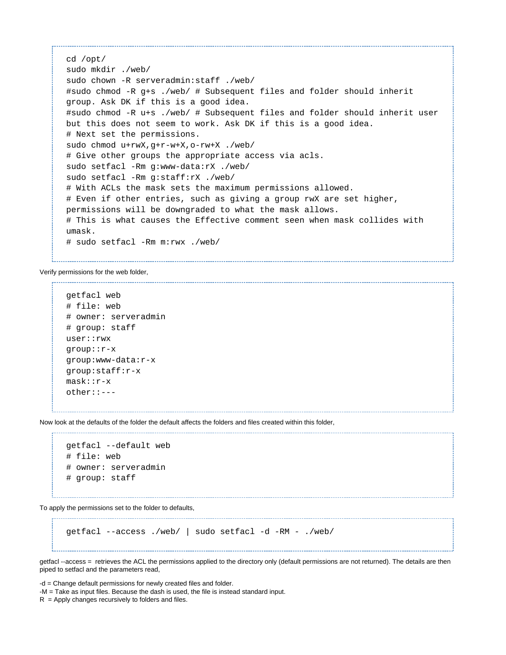```
cd /opt/
sudo mkdir ./web/
sudo chown -R serveradmin:staff ./web/
#sudo chmod -R g+s ./web/ # Subsequent files and folder should inherit
group. Ask DK if this is a good idea.
#sudo chmod -R u+s ./web/ # Subsequent files and folder should inherit user
but this does not seem to work. Ask DK if this is a good idea.
# Next set the permissions.
sudo chmod u+rwX,g+r-w+X,o-rw+X ./web/
# Give other groups the appropriate access via acls.
sudo setfacl -Rm g:www-data:rX ./web/
sudo setfacl -Rm g:staff:rX ./web/
# With ACLs the mask sets the maximum permissions allowed. 
# Even if other entries, such as giving a group rwX are set higher,
permissions will be downgraded to what the mask allows. 
# This is what causes the Effective comment seen when mask collides with
umask.
# sudo setfacl -Rm m:rwx ./web/
```
Verify permissions for the web folder,

```
getfacl web
# file: web
# owner: serveradmin
# group: staff
user::rwx
group::r-x
group:www-data:r-x
group:staff:r-x
mask::r-x
other::---
```
Now look at the defaults of the folder the default affects the folders and files created within this folder,

```
getfacl --default web
# file: web
# owner: serveradmin
# group: staff
```
To apply the permissions set to the folder to defaults,

```
getfacl --access ./web/ | sudo setfacl -d -RM - ./web/
```
getfacl --access = retrieves the ACL the permissions applied to the directory only (default permissions are not returned). The details are then piped to setfacl and the parameters read,

-d = Change default permissions for newly created files and folder.

-M = Take as input files. Because the dash is used, the file is instead standard input.

 $R =$  Apply changes recursively to folders and files.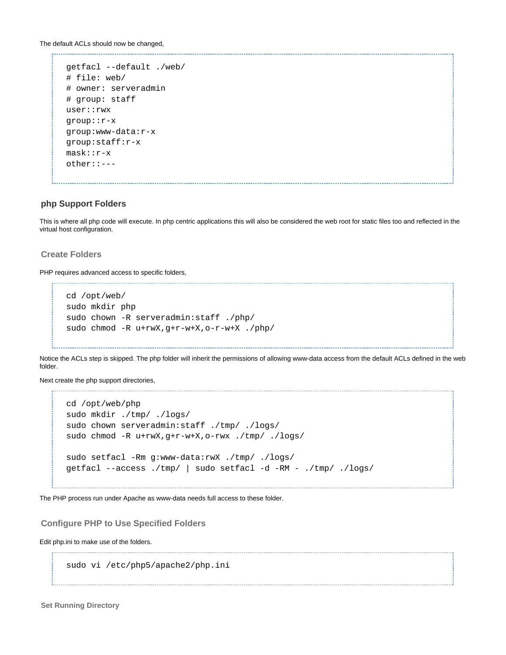The default ACLs should now be changed, 

```
getfacl --default ./web/
# file: web/
# owner: serveradmin
# group: staff
user::rwx
group::r-x
group:www-data:r-x
group:staff:r-x
mask::r-x
other::---
```
## <span id="page-4-0"></span>**php Support Folders**

This is where all php code will execute. In php centric applications this will also be considered the web root for static files too and reflected in the virtual host configuration.

## <span id="page-4-1"></span>**Create Folders**

PHP requires advanced access to specific folders,

```
cd /opt/web/
sudo mkdir php
sudo chown -R serveradmin:staff ./php/
sudo chmod -R u+rwX,g+r-w+X,o-r-w+X ./php/
```
Notice the ACLs step is skipped. The php folder will inherit the permissions of allowing www-data access from the default ACLs defined in the web folder.

Next create the php support directories,

```
cd /opt/web/php
sudo mkdir ./tmp/ ./logs/
sudo chown serveradmin:staff ./tmp/ ./logs/
sudo chmod -R u+rwX,g+r-w+X,o-rwx ./tmp/ ./logs/
sudo setfacl -Rm g:www-data:rwX ./tmp/ ./logs/
getfacl --access ./tmp/ | sudo setfacl -d -RM - ./tmp/ ./logs/
```
The PHP process run under Apache as www-data needs full access to these folder.

<span id="page-4-2"></span>**Configure PHP to Use Specified Folders**

Edit php.ini to make use of the folders.

sudo vi /etc/php5/apache2/php.ini

<span id="page-4-3"></span>**Set Running Directory**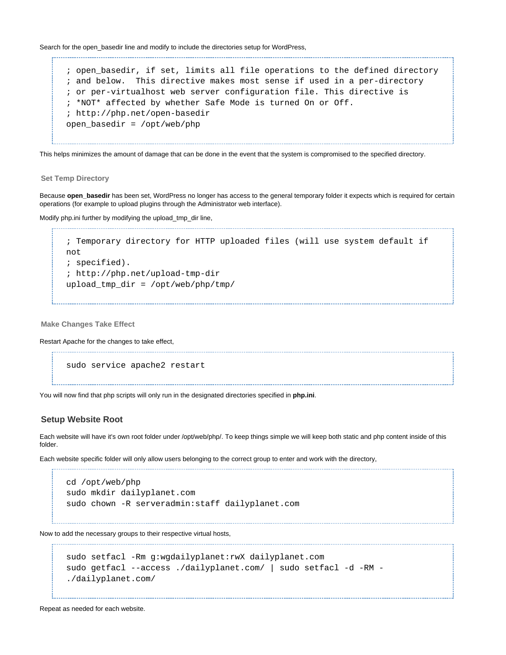Search for the open\_basedir line and modify to include the directories setup for WordPress,

; open\_basedir, if set, limits all file operations to the defined directory ; and below. This directive makes most sense if used in a per-directory ; or per-virtualhost web server configuration file. This directive is ; \*NOT\* affected by whether Safe Mode is turned On or Off. ; http://php.net/open-basedir open\_basedir = /opt/web/php

This helps minimizes the amount of damage that can be done in the event that the system is compromised to the specified directory.

<span id="page-5-0"></span>**Set Temp Directory**

Because **open\_basedir** has been set, WordPress no longer has access to the general temporary folder it expects which is required for certain operations (for example to upload plugins through the Administrator web interface).

Modify php.ini further by modifying the upload\_tmp\_dir line,

```
; Temporary directory for HTTP uploaded files (will use system default if
not
; specified).
; http://php.net/upload-tmp-dir
upload_tmp_dir = /opt/web/php/tmp/
```
<span id="page-5-1"></span>**Make Changes Take Effect**

Restart Apache for the changes to take effect,

sudo service apache2 restart

You will now find that php scripts will only run in the designated directories specified in **php.ini**.

### <span id="page-5-2"></span>**Setup Website Root**

Each website will have it's own root folder under /opt/web/php/. To keep things simple we will keep both static and php content inside of this folder.

Each website specific folder will only allow users belonging to the correct group to enter and work with the directory,

```
cd /opt/web/php
sudo mkdir dailyplanet.com
sudo chown -R serveradmin:staff dailyplanet.com
```
Now to add the necessary groups to their respective virtual hosts,

```
sudo setfacl -Rm g:wgdailyplanet:rwX dailyplanet.com
sudo getfacl --access ./dailyplanet.com/ | sudo setfacl -d -RM -
./dailyplanet.com/
```
<span id="page-5-3"></span>Repeat as needed for each website.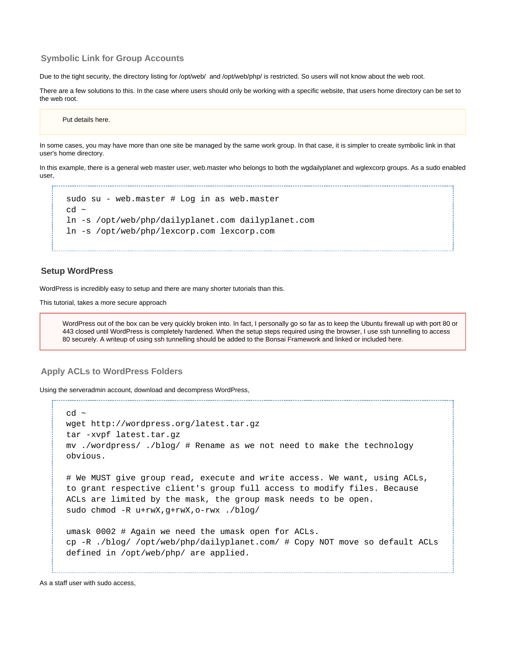## **Symbolic Link for Group Accounts**

Due to the tight security, the directory listing for /opt/web/ and /opt/web/php/ is restricted. So users will not know about the web root.

There are a few solutions to this. In the case where users should only be working with a specific website, that users home directory can be set to the web root.

#### Put details here.

In some cases, you may have more than one site be managed by the same work group. In that case, it is simpler to create symbolic link in that user's home directory.

In this example, there is a general web master user, web.master who belongs to both the wgdailyplanet and wglexcorp groups. As a sudo enabled user,

```
sudo su - web.master # Log in as web.master
cd ~
ln -s /opt/web/php/dailyplanet.com dailyplanet.com
ln -s /opt/web/php/lexcorp.com lexcorp.com
```
### <span id="page-6-0"></span>**Setup WordPress**

WordPress is incredibly easy to setup and there are many shorter tutorials than this.

This tutorial, takes a more secure approach

WordPress out of the box can be very quickly broken into. In fact, I personally go so far as to keep the Ubuntu firewall up with port 80 or 443 closed until WordPress is completely hardened. When the setup steps required using the browser, I use ssh tunnelling to access 80 securely. A writeup of using ssh tunnelling should be added to the Bonsai Framework and linked or included here.

### <span id="page-6-1"></span>**Apply ACLs to WordPress Folders**

Using the serveradmin account, download and decompress WordPress,

```
cd \simwget http://wordpress.org/latest.tar.gz
tar -xvpf latest.tar.gz
mv ./wordpress/ ./blog/ # Rename as we not need to make the technology
obvious.
# We MUST give group read, execute and write access. We want, using ACLs,
to grant respective client's group full access to modify files. Because
ACLs are limited by the mask, the group mask needs to be open.
sudo chmod -R u+rwX,g+rwX,o-rwx ./blog/
umask 0002 # Again we need the umask open for ACLs.
cp -R ./blog/ /opt/web/php/dailyplanet.com/ # Copy NOT move so default ACLs
defined in /opt/web/php/ are applied.
```
As a staff user with sudo access,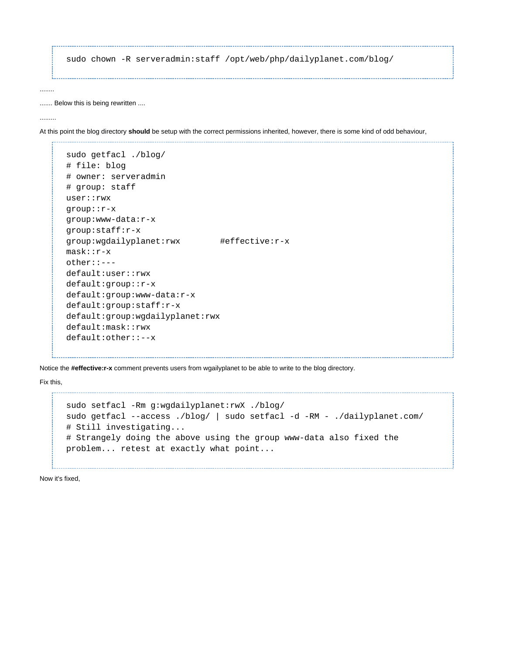```
sudo chown -R serveradmin:staff /opt/web/php/dailyplanet.com/blog/
```
....... Below this is being rewritten ....

.........

........

At this point the blog directory **should** be setup with the correct permissions inherited, however, there is some kind of odd behaviour,

```
sudo getfacl ./blog/
# file: blog
# owner: serveradmin
# group: staff
user::rwx
group::r-x
group:www-data:r-x
group:staff:r-x
group:wgdailyplanet:rwx #effective:r-x
mask::r-x
other::---
default:user::rwx
default:group::r-x
default:group:www-data:r-x
default:group:staff:r-x
default:group:wgdailyplanet:rwx
default:mask::rwx
default:other::--x
```
Notice the **#effective:r-x** comment prevents users from wgailyplanet to be able to write to the blog directory.

Fix this,

```
sudo setfacl -Rm g:wgdailyplanet:rwX ./blog/
sudo getfacl --access ./blog/ | sudo setfacl -d -RM - ./dailyplanet.com/
# Still investigating...
# Strangely doing the above using the group www-data also fixed the
problem... retest at exactly what point...
```
Now it's fixed,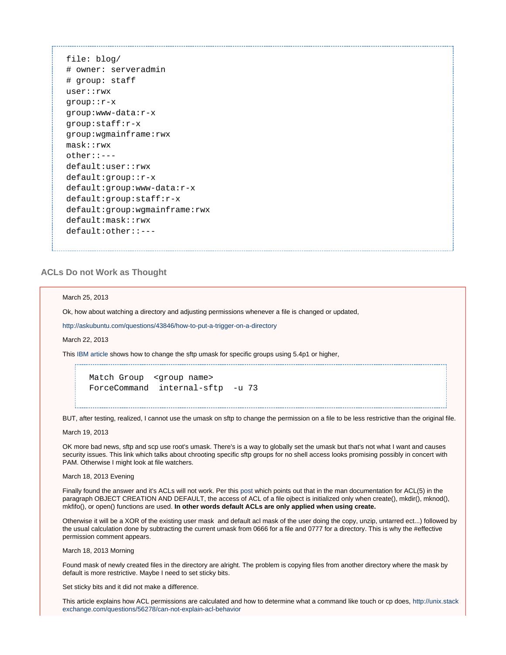file: blog/ # owner: serveradmin # group: staff user::rwx group::r-x group:www-data:r-x group:staff:r-x group:wgmainframe:rwx mask::rwx other::-- default:user::rwx default:group::r-x default:group:www-data:r-x default:group:staff:r-x default:group:wgmainframe:rwx default:mask::rwx default:other::---

## <span id="page-8-0"></span>**ACLs Do not Work as Thought**

#### March 25, 2013

Ok, how about watching a directory and adjusting permissions whenever a file is changed or updated,

<http://askubuntu.com/questions/43846/how-to-put-a-trigger-on-a-directory>

March 22, 2013

This [IBM article](http://www-01.ibm.com/support/docview.wss?uid=isg3T1012565) shows how to change the sftp umask for specific groups using 5.4p1 or higher,

Match Group <group name> ForceCommand internal-sftp -u 73

BUT, after testing, realized, I cannot use the umask on sftp to change the permission on a file to be less restrictive than the original file.

March 19, 2013

OK more bad news, sftp and scp use root's umask. There's is a way to globally set the umask but that's not what I want and causes security issues. This link which talks about chrooting specific sftp groups for no shell access looks promising possibly in concert with PAM. Otherwise I might look at file watchers.

### March 18, 2013 Evening

Finally found the answer and it's ACLs will not work. Per this [post](http://serverfault.com/questions/451698/default-permission-for-newly-created-files-folders-using-acls-not-respected-by-c) which points out that in the man documentation for ACL(5) in the paragraph OBJECT CREATION AND DEFAULT, the access of ACL of a file ojbect is initialized only when create(), mkdir(), mknod(), mkfifo(), or open() functions are used. **In other words default ACLs are only applied when using create.**

Otherwise it will be a XOR of the existing user mask and default acl mask of the user doing the copy, unzip, untarred ect...) followed by the usual calculation done by subtracting the current umask from 0666 for a file and 0777 for a directory. This is why the #effective permission comment appears.

March 18, 2013 Morning

Found mask of newly created files in the directory are alright. The problem is copying files from another directory where the mask by default is more restrictive. Maybe I need to set sticky bits.

Set sticky bits and it did not make a difference.

This article explains how ACL permissions are calculated and how to determine what a command like touch or cp does, [http://unix.stack](http://unix.stackexchange.com/questions/56278/can-not-explain-acl-behavior) [exchange.com/questions/56278/can-not-explain-acl-behavior](http://unix.stackexchange.com/questions/56278/can-not-explain-acl-behavior)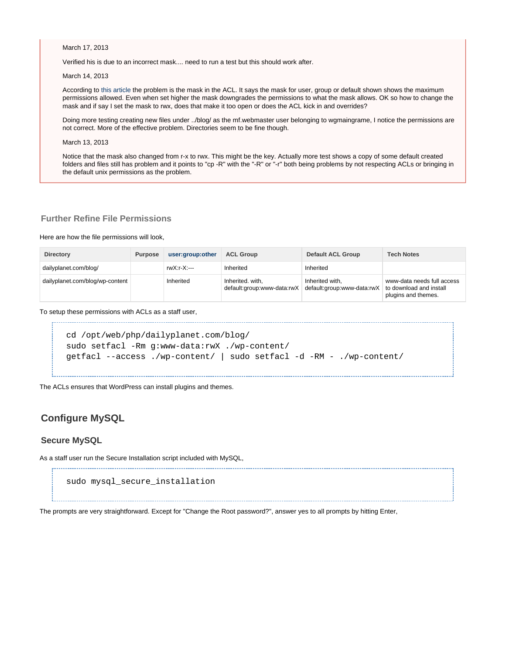March 17, 2013

Verified his is due to an incorrect mask.... need to run a test but this should work after.

March 14, 2013

According to [this article](http://bsdwiki.reedmedia.net/wiki/View_and_modify_ACLs.html) the problem is the mask in the ACL. It says the mask for user, group or default shown shows the maximum permissions allowed. Even when set higher the mask downgrades the permissions to what the mask allows. OK so how to change the mask and if say I set the mask to rwx, does that make it too open or does the ACL kick in and overrides?

Doing more testing creating new files under ../blog/ as the mf.webmaster user belonging to wgmaingrame, I notice the permissions are not correct. More of the effective problem. Directories seem to be fine though.

March 13, 2013

Notice that the mask also changed from r-x to rwx. This might be the key. Actually more test shows a copy of some default created folders and files still has problem and it points to "cp -R" with the "-R" or "-r" both being problems by not respecting ACLs or bringing in the default unix permissions as the problem.

## <span id="page-9-0"></span>**Further Refine File Permissions**

Here are how the file permissions will look,

| <b>Directory</b>                | <b>Purpose</b> | user:group:other | <b>ACL Group</b>                               | <b>Default ACL Group</b>                      | <b>Tech Notes</b>                                                            |
|---------------------------------|----------------|------------------|------------------------------------------------|-----------------------------------------------|------------------------------------------------------------------------------|
| dailyplanet.com/blog/           |                | rwX:r-X:---      | Inherited                                      | Inherited                                     |                                                                              |
| dailyplanet.com/blog/wp-content |                | Inherited        | Inherited. with,<br>default:group:www-data:rwX | Inherited with.<br>default:group:www-data:rwX | www-data needs full access<br>to download and install<br>plugins and themes. |

To setup these permissions with ACLs as a staff user,

```
cd /opt/web/php/dailyplanet.com/blog/
sudo setfacl -Rm g:www-data:rwX ./wp-content/
getfacl --access ./wp-content/ | sudo setfacl -d -RM - ./wp-content/
```
The ACLs ensures that WordPress can install plugins and themes.

# <span id="page-9-1"></span>**Configure MySQL**

### <span id="page-9-2"></span>**Secure MySQL**

As a staff user run the Secure Installation script included with MySQL,

```
sudo mysql_secure_installation
```
The prompts are very straightforward. Except for "Change the Root password?", answer yes to all prompts by hitting Enter,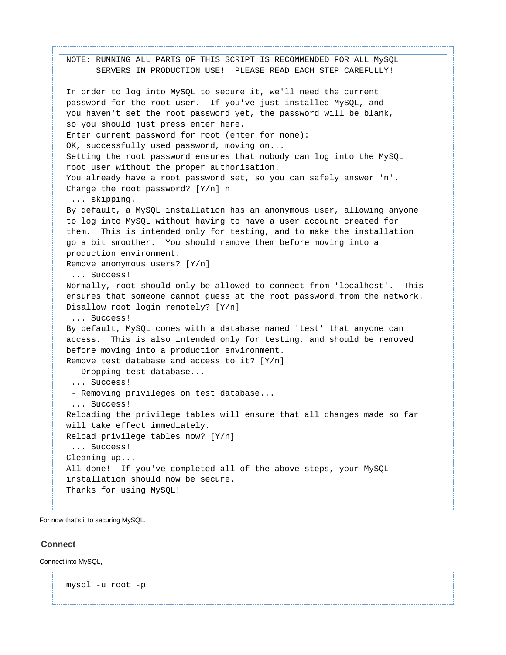```
NOTE: RUNNING ALL PARTS OF THIS SCRIPT IS RECOMMENDED FOR ALL MySQL
       SERVERS IN PRODUCTION USE! PLEASE READ EACH STEP CAREFULLY!
In order to log into MySQL to secure it, we'll need the current
password for the root user. If you've just installed MySQL, and
you haven't set the root password yet, the password will be blank,
so you should just press enter here.
Enter current password for root (enter for none): 
OK, successfully used password, moving on...
Setting the root password ensures that nobody can log into the MySQL
root user without the proper authorisation.
You already have a root password set, so you can safely answer 'n'.
Change the root password? [Y/n] n
  ... skipping.
By default, a MySQL installation has an anonymous user, allowing anyone
to log into MySQL without having to have a user account created for
them. This is intended only for testing, and to make the installation
go a bit smoother. You should remove them before moving into a
production environment.
Remove anonymous users? [Y/n] 
  ... Success!
Normally, root should only be allowed to connect from 'localhost'. This
ensures that someone cannot guess at the root password from the network.
Disallow root login remotely? [Y/n] 
  ... Success!
By default, MySQL comes with a database named 'test' that anyone can
access. This is also intended only for testing, and should be removed
before moving into a production environment.
Remove test database and access to it? [Y/n] 
  - Dropping test database...
  ... Success!
  - Removing privileges on test database...
  ... Success!
Reloading the privilege tables will ensure that all changes made so far
will take effect immediately.
Reload privilege tables now? [Y/n] 
  ... Success!
Cleaning up...
All done! If you've completed all of the above steps, your MySQL
installation should now be secure.
Thanks for using MySQL!
```
For now that's it to securing MySQL.

## <span id="page-10-0"></span>**Connect**

Connect into MySQL,

mysql -u root -p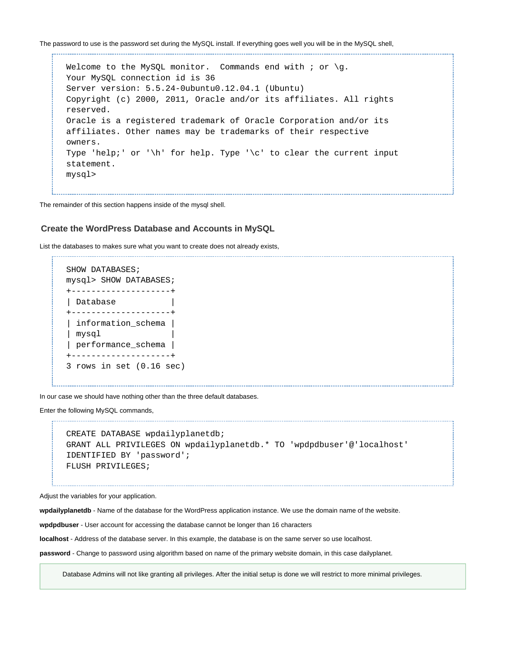The password to use is the password set during the MySQL install. If everything goes well you will be in the MySQL shell,

Welcome to the MySQL monitor. Commands end with ; or  $\gtrsim g$ . Your MySQL connection id is 36 Server version: 5.5.24-0ubuntu0.12.04.1 (Ubuntu) Copyright (c) 2000, 2011, Oracle and/or its affiliates. All rights reserved. Oracle is a registered trademark of Oracle Corporation and/or its affiliates. Other names may be trademarks of their respective owners. Type 'help;' or '\h' for help. Type '\c' to clear the current input statement. mysql>

The remainder of this section happens inside of the mysql shell.

### <span id="page-11-0"></span>**Create the WordPress Database and Accounts in MySQL**

List the databases to makes sure what you want to create does not already exists,

```
SHOW DATABASES;
mysql> SHOW DATABASES;
+--------------------+
| Database |
+--------------------+
| information_schema |
| mysql |
| performance_schema |
+--------------------+
3 rows in set (0.16 sec)
```
In our case we should have nothing other than the three default databases.

Enter the following MySQL commands,

------------------------------------

```
CREATE DATABASE wpdailyplanetdb;
GRANT ALL PRIVILEGES ON wpdailyplanetdb.* TO 'wpdpdbuser'@'localhost'
IDENTIFIED BY 'password';
FLUSH PRIVILEGES;
```
Adjust the variables for your application.

**wpdailyplanetdb** - Name of the database for the WordPress application instance. We use the domain name of the website.

**wpdpdbuser** - User account for accessing the database cannot be longer than 16 characters

**localhost** - Address of the database server. In this example, the database is on the same server so use localhost.

<span id="page-11-1"></span>**password** - Change to password using algorithm based on name of the primary website domain, in this case dailyplanet.

Database Admins will not like granting all privileges. After the initial setup is done we will restrict to more minimal privileges.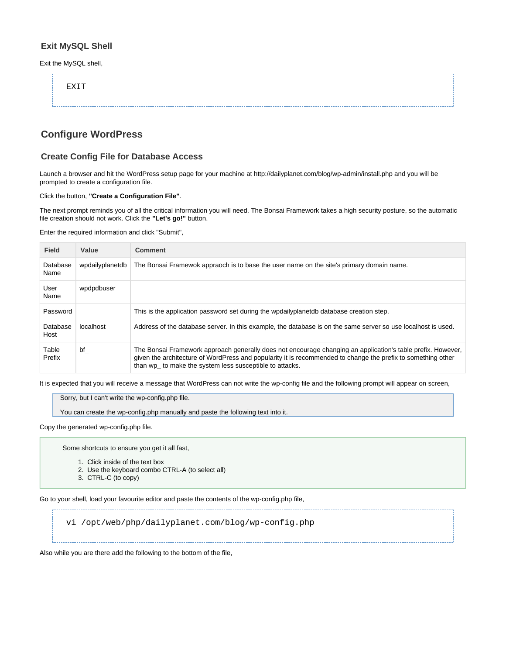# **Exit MySQL Shell**

Exit the MySQL shell,

| <b>FXTT</b> |  |  |
|-------------|--|--|
|             |  |  |
|             |  |  |
|             |  |  |
|             |  |  |
|             |  |  |

# <span id="page-12-0"></span>**Configure WordPress**

# <span id="page-12-1"></span>**Create Config File for Database Access**

Launch a browser and hit the WordPress setup page for your machine at http://dailyplanet.com/blog/wp-admin/install.php and you will be prompted to create a configuration file.

### Click the button, **"Create a Configuration File"**.

The next prompt reminds you of all the critical information you will need. The Bonsai Framework takes a high security posture, so the automatic file creation should not work. Click the **"Let's go!"** button.

Enter the required information and click "Submit",

| <b>Field</b>     | Value           | <b>Comment</b>                                                                                                                                                                                                                                                                          |
|------------------|-----------------|-----------------------------------------------------------------------------------------------------------------------------------------------------------------------------------------------------------------------------------------------------------------------------------------|
| Database<br>Name | wpdailyplanetdb | The Bonsai Framewok appraoch is to base the user name on the site's primary domain name.                                                                                                                                                                                                |
| User<br>Name     | wpdpdbuser      |                                                                                                                                                                                                                                                                                         |
| Password         |                 | This is the application password set during the wpdailyplanetdb database creation step.                                                                                                                                                                                                 |
| Database<br>Host | localhost       | Address of the database server. In this example, the database is on the same server so use localhost is used.                                                                                                                                                                           |
| Table<br>Prefix  | bf              | The Bonsai Framework approach generally does not encourage changing an application's table prefix. However,<br>given the architecture of WordPress and popularity it is recommended to change the prefix to something other<br>than wp_ to make the system less susceptible to attacks. |

It is expected that you will receive a message that WordPress can not write the wp-config file and the following prompt will appear on screen,

Sorry, but I can't write the wp-config.php file.

You can create the wp-config.php manually and paste the following text into it.

Copy the generated wp-config.php file.

Some shortcuts to ensure you get it all fast,

- 1. Click inside of the text box
- 2. Use the keyboard combo CTRL-A (to select all)
- 3. CTRL-C (to copy)

Go to your shell, load your favourite editor and paste the contents of the wp-config.php file,

vi /opt/web/php/dailyplanet.com/blog/wp-config.php

Also while you are there add the following to the bottom of the file,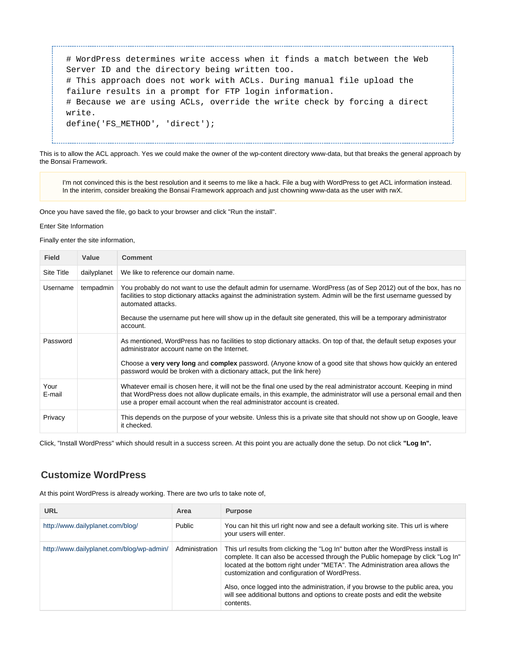# WordPress determines write access when it finds a match between the Web Server ID and the directory being written too. # This approach does not work with ACLs. During manual file upload the failure results in a prompt for FTP login information. # Because we are using ACLs, override the write check by forcing a direct write. define('FS\_METHOD', 'direct');

This is to allow the ACL approach. Yes we could make the owner of the wp-content directory www-data, but that breaks the general approach by the Bonsai Framework.

I'm not convinced this is the best resolution and it seems to me like a hack. File a bug with WordPress to get ACL information instead. In the interim, consider breaking the Bonsai Framework approach and just chowning www-data as the user with rwX.

Once you have saved the file, go back to your browser and click "Run the install".

Enter Site Information

Finally enter the site information,

| <b>Field</b>   | Value       | <b>Comment</b>                                                                                                                                                                                                                                                                                                                                                                                  |
|----------------|-------------|-------------------------------------------------------------------------------------------------------------------------------------------------------------------------------------------------------------------------------------------------------------------------------------------------------------------------------------------------------------------------------------------------|
| Site Title     | dailyplanet | We like to reference our domain name.                                                                                                                                                                                                                                                                                                                                                           |
| Username       | tempadmin   | You probably do not want to use the default admin for username. WordPress (as of Sep 2012) out of the box, has no<br>facilities to stop dictionary attacks against the administration system. Admin will be the first username guessed by<br>automated attacks.<br>Because the username put here will show up in the default site generated, this will be a temporary administrator<br>account. |
| Password       |             | As mentioned, WordPress has no facilities to stop dictionary attacks. On top of that, the default setup exposes your<br>administrator account name on the Internet.<br>Choose a very very long and complex password. (Anyone know of a good site that shows how quickly an entered<br>password would be broken with a dictionary attack, put the link here)                                     |
| Your<br>E-mail |             | Whatever email is chosen here, it will not be the final one used by the real administrator account. Keeping in mind<br>that WordPress does not allow duplicate emails, in this example, the administrator will use a personal email and then<br>use a proper email account when the real administrator account is created.                                                                      |
| Privacy        |             | This depends on the purpose of your website. Unless this is a private site that should not show up on Google, leave<br>it checked.                                                                                                                                                                                                                                                              |

Click, "Install WordPress" which should result in a success screen. At this point you are actually done the setup. Do not click **"Log In".**

# <span id="page-13-0"></span>**Customize WordPress**

At this point WordPress is already working. There are two urls to take note of,

| <b>URL</b>                                | Area           | <b>Purpose</b>                                                                                                                                                                                                                                                                                                                                                                                                                                                                         |
|-------------------------------------------|----------------|----------------------------------------------------------------------------------------------------------------------------------------------------------------------------------------------------------------------------------------------------------------------------------------------------------------------------------------------------------------------------------------------------------------------------------------------------------------------------------------|
| http://www.dailyplanet.com/blog/          | Public         | You can hit this url right now and see a default working site. This url is where<br>your users will enter.                                                                                                                                                                                                                                                                                                                                                                             |
| http://www.dailyplanet.com/blog/wp-admin/ | Administration | This url results from clicking the "Log In" button after the WordPress install is<br>complete. It can also be accessed through the Public homepage by click "Log In"<br>located at the bottom right under "META". The Administration area allows the<br>customization and configuration of WordPress.<br>Also, once logged into the administration, if you browse to the public area, you<br>will see additional buttons and options to create posts and edit the website<br>contents. |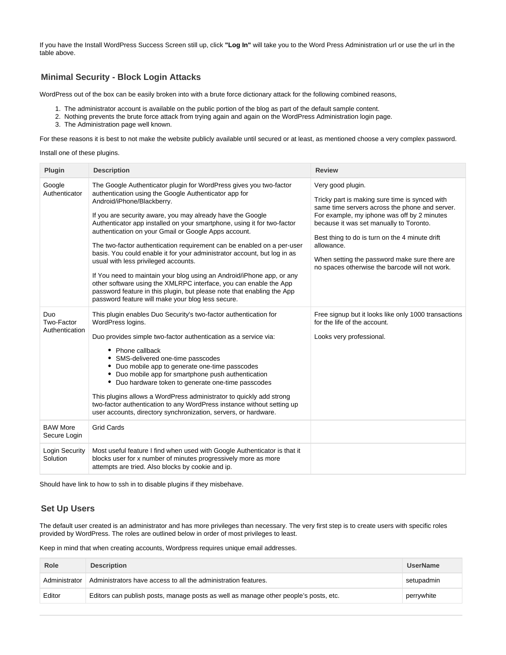If you have the Install WordPress Success Screen still up, click **"Log In"** will take you to the Word Press Administration url or use the url in the table above.

# <span id="page-14-0"></span>**Minimal Security - Block Login Attacks**

WordPress out of the box can be easily broken into with a brute force dictionary attack for the following combined reasons,

- 1. The administrator account is available on the public portion of the blog as part of the default sample content.
- 2. Nothing prevents the brute force attack from trying again and again on the WordPress Administration login page.
- 3. The Administration page well known.

For these reasons it is best to not make the website publicly available until secured or at least, as mentioned choose a very complex password.

### Install one of these plugins.

| Plugin                              | <b>Description</b>                                                                                                                                                                                                                                                                                                                                                                                                                                                                                                                                                                                                                                                                                                                                                                                                                    | <b>Review</b>                                                                                                                                                                                                                                                                                                                                                                      |
|-------------------------------------|---------------------------------------------------------------------------------------------------------------------------------------------------------------------------------------------------------------------------------------------------------------------------------------------------------------------------------------------------------------------------------------------------------------------------------------------------------------------------------------------------------------------------------------------------------------------------------------------------------------------------------------------------------------------------------------------------------------------------------------------------------------------------------------------------------------------------------------|------------------------------------------------------------------------------------------------------------------------------------------------------------------------------------------------------------------------------------------------------------------------------------------------------------------------------------------------------------------------------------|
| Google<br>Authenticator             | The Google Authenticator plugin for WordPress gives you two-factor<br>authentication using the Google Authenticator app for<br>Android/iPhone/Blackberry.<br>If you are security aware, you may already have the Google<br>Authenticator app installed on your smartphone, using it for two-factor<br>authentication on your Gmail or Google Apps account.<br>The two-factor authentication requirement can be enabled on a per-user<br>basis. You could enable it for your administrator account, but log in as<br>usual with less privileged accounts.<br>If You need to maintain your blog using an Android/iPhone app, or any<br>other software using the XMLRPC interface, you can enable the App<br>password feature in this plugin, but please note that enabling the App<br>password feature will make your blog less secure. | Very good plugin.<br>Tricky part is making sure time is synced with<br>same time servers across the phone and server.<br>For example, my iphone was off by 2 minutes<br>because it was set manually to Toronto.<br>Best thing to do is turn on the 4 minute drift<br>allowance.<br>When setting the password make sure there are<br>no spaces otherwise the barcode will not work. |
| Duo<br>Two-Factor<br>Authentication | This plugin enables Duo Security's two-factor authentication for<br>WordPress logins.<br>Duo provides simple two-factor authentication as a service via:<br>• Phone callback<br>SMS-delivered one-time passcodes<br>• Duo mobile app to generate one-time passcodes<br>• Duo mobile app for smartphone push authentication<br>• Duo hardware token to generate one-time passcodes<br>This plugins allows a WordPress administrator to quickly add strong<br>two-factor authentication to any WordPress instance without setting up<br>user accounts, directory synchronization, servers, or hardware.                                                                                                                                                                                                                                 | Free signup but it looks like only 1000 transactions<br>for the life of the account.<br>Looks very professional.                                                                                                                                                                                                                                                                   |
| <b>BAW More</b><br>Secure Login     | <b>Grid Cards</b>                                                                                                                                                                                                                                                                                                                                                                                                                                                                                                                                                                                                                                                                                                                                                                                                                     |                                                                                                                                                                                                                                                                                                                                                                                    |
| Login Security<br>Solution          | Most useful feature I find when used with Google Authenticator is that it<br>blocks user for x number of minutes progressively more as more<br>attempts are tried. Also blocks by cookie and ip.                                                                                                                                                                                                                                                                                                                                                                                                                                                                                                                                                                                                                                      |                                                                                                                                                                                                                                                                                                                                                                                    |

Should have link to how to ssh in to disable plugins if they misbehave.

## <span id="page-14-1"></span>**Set Up Users**

The default user created is an administrator and has more privileges than necessary. The very first step is to create users with specific roles provided by WordPress. The roles are outlined below in order of most privileges to least.

Keep in mind that when creating accounts, Wordpress requires unique email addresses.

| Role          | <b>Description</b>                                                                   | <b>UserName</b> |
|---------------|--------------------------------------------------------------------------------------|-----------------|
| Administrator | Administrators have access to all the administration features.                       | setupadmin      |
| Editor        | Editors can publish posts, manage posts as well as manage other people's posts, etc. | perrywhite      |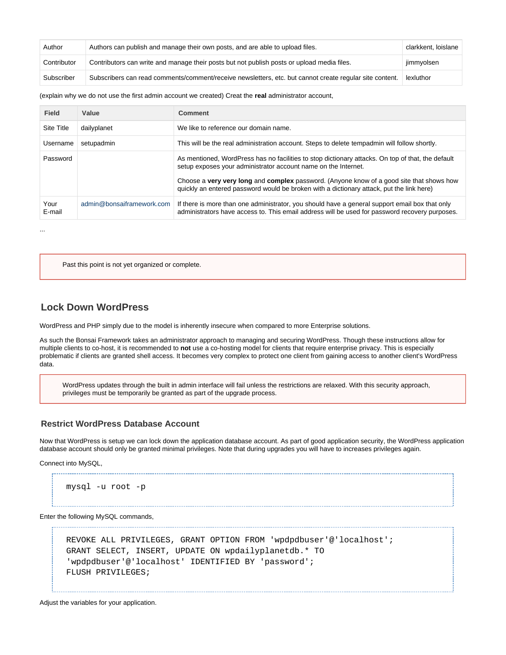| Author      | Authors can publish and manage their own posts, and are able to upload files.                           | clarkkent, loislane |
|-------------|---------------------------------------------------------------------------------------------------------|---------------------|
| Contributor | Contributors can write and manage their posts but not publish posts or upload media files.              | jimmyolsen          |
| Subscriber  | Subscribers can read comments/comment/receive newsletters, etc. but cannot create regular site content. | lexluthor           |

### (explain why we do not use the first admin account we created) Creat the **real** administrator account,

| <b>Field</b>      | Value                     | <b>Comment</b>                                                                                                                                                                                                                                                                                                                                              |
|-------------------|---------------------------|-------------------------------------------------------------------------------------------------------------------------------------------------------------------------------------------------------------------------------------------------------------------------------------------------------------------------------------------------------------|
| <b>Site Title</b> | dailyplanet               | We like to reference our domain name.                                                                                                                                                                                                                                                                                                                       |
| Username          | setupadmin                | This will be the real administration account. Steps to delete tempadmin will follow shortly.                                                                                                                                                                                                                                                                |
| Password          |                           | As mentioned, WordPress has no facilities to stop dictionary attacks. On top of that, the default<br>setup exposes your administrator account name on the Internet.<br>Choose a very very long and complex password. (Anyone know of a good site that shows how<br>quickly an entered password would be broken with a dictionary attack, put the link here) |
| Your<br>E-mail    | admin@bonsaiframework.com | If there is more than one administrator, you should have a general support email box that only<br>administrators have access to. This email address will be used for password recovery purposes.                                                                                                                                                            |

Past this point is not yet organized or complete.

# <span id="page-15-0"></span>**Lock Down WordPress**

...

WordPress and PHP simply due to the model is inherently insecure when compared to more Enterprise solutions.

As such the Bonsai Framework takes an administrator approach to managing and securing WordPress. Though these instructions allow for multiple clients to co-host, it is recommended to **not** use a co-hosting model for clients that require enterprise privacy. This is especially problematic if clients are granted shell access. It becomes very complex to protect one client from gaining access to another client's WordPress data.

WordPress updates through the built in admin interface will fail unless the restrictions are relaxed. With this security approach, privileges must be temporarily be granted as part of the upgrade process.

### <span id="page-15-1"></span>**Restrict WordPress Database Account**

Now that WordPress is setup we can lock down the application database account. As part of good application security, the WordPress application database account should only be granted minimal privileges. Note that during upgrades you will have to increases privileges again.

Connect into MySQL,

```
mysql -u root -p
```
Enter the following MySQL commands,

```
REVOKE ALL PRIVILEGES, GRANT OPTION FROM 'wpdpdbuser'@'localhost';
GRANT SELECT, INSERT, UPDATE ON wpdailyplanetdb.* TO
'wpdpdbuser'@'localhost' IDENTIFIED BY 'password';
FLUSH PRIVILEGES;
```

```
Adjust the variables for your application.
```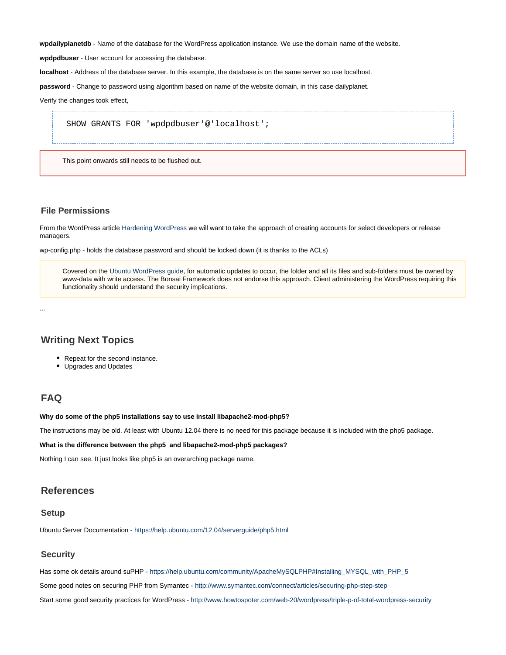**wpdailyplanetdb** - Name of the database for the WordPress application instance. We use the domain name of the website.

**wpdpdbuser** - User account for accessing the database.

**localhost** - Address of the database server. In this example, the database is on the same server so use localhost.

**password** - Change to password using algorithm based on name of the website domain, in this case dailyplanet.

Verify the changes took effect,

SHOW GRANTS FOR 'wpdpdbuser'@'localhost';

This point onwards still needs to be flushed out.

### <span id="page-16-0"></span>**File Permissions**

From the WordPress article [Hardening WordPress](http://codex.wordpress.org/Hardening_WordPress) we will want to take the approach of creating accounts for select developers or release managers.

wp-config.php - holds the database password and should be locked down (it is thanks to the ACLs)

Covered on the [Ubuntu WordPress guide,](https://help.ubuntu.com/community/WordPress) for automatic updates to occur, the folder and all its files and sub-folders must be owned by www-data with write access. The Bonsai Framework does not endorse this approach. Client administering the WordPress requiring this functionality should understand the security implications.

...

## <span id="page-16-1"></span>**Writing Next Topics**

- Repeat for the second instance.
- Upgrades and Updates

# <span id="page-16-2"></span>**FAQ**

#### **Why do some of the php5 installations say to use install libapache2-mod-php5?**

The instructions may be old. At least with Ubuntu 12.04 there is no need for this package because it is included with the php5 package.

#### **What is the difference between the php5 and libapache2-mod-php5 packages?**

Nothing I can see. It just looks like php5 is an overarching package name.

## <span id="page-16-3"></span>**References**

## <span id="page-16-4"></span>**Setup**

Ubuntu Server Documentation - <https://help.ubuntu.com/12.04/serverguide/php5.html>

## <span id="page-16-5"></span>**Security**

Has some ok details around suPHP - [https://help.ubuntu.com/community/ApacheMySQLPHP#Installing\\_MYSQL\\_with\\_PHP\\_5](https://help.ubuntu.com/community/ApacheMySQLPHP#Installing_MYSQL_with_PHP_5)

Some good notes on securing PHP from Symantec - <http://www.symantec.com/connect/articles/securing-php-step-step>

Start some good security practices for WordPress - <http://www.howtospoter.com/web-20/wordpress/triple-p-of-total-wordpress-security>